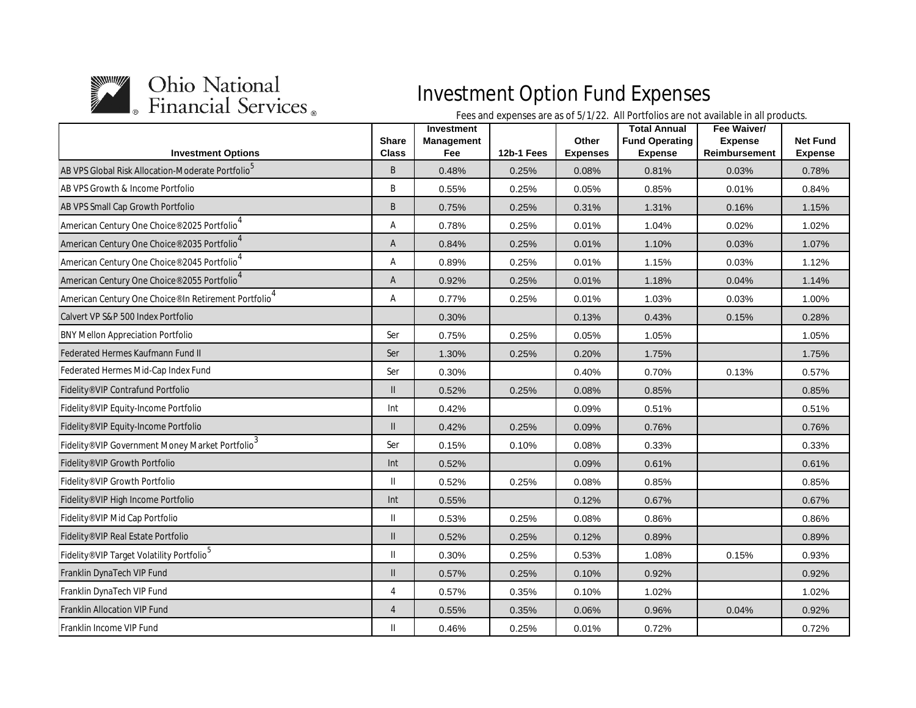

| <b>Investment Options</b>                                                     | <b>Share</b><br><b>Class</b> | <b>Investment</b><br>Management<br>Fee | 12b-1 Fees | Other<br><b>Expenses</b> | <b>Total Annual</b><br><b>Fund Operating</b><br><b>Expense</b> | Fee Waiver/<br><b>Expense</b><br>Reimbursement | <b>Net Fund</b><br><b>Expense</b> |
|-------------------------------------------------------------------------------|------------------------------|----------------------------------------|------------|--------------------------|----------------------------------------------------------------|------------------------------------------------|-----------------------------------|
| AB VPS Global Risk Allocation-Moderate Portfolio <sup>5</sup>                 | B                            | 0.48%                                  | 0.25%      | 0.08%                    | 0.81%                                                          | 0.03%                                          | 0.78%                             |
| AB VPS Growth & Income Portfolio                                              | B                            | 0.55%                                  | 0.25%      | 0.05%                    | 0.85%                                                          | 0.01%                                          | 0.84%                             |
| AB VPS Small Cap Growth Portfolio                                             | B                            | 0.75%                                  | 0.25%      | 0.31%                    | 1.31%                                                          | 0.16%                                          | 1.15%                             |
| American Century One Choice® 2025 Portfolio <sup>4</sup>                      | Α                            | 0.78%                                  | 0.25%      | 0.01%                    | 1.04%                                                          | 0.02%                                          | 1.02%                             |
| American Century One Choice <sup>®</sup> 2035 Portfolio                       | A                            | 0.84%                                  | 0.25%      | 0.01%                    | 1.10%                                                          | 0.03%                                          | 1.07%                             |
| American Century One Choice® 2045 Portfolio                                   | Α                            | 0.89%                                  | 0.25%      | 0.01%                    | 1.15%                                                          | 0.03%                                          | 1.12%                             |
| American Century One Choice <sup>®</sup> 2055 Portfolio <sup>4</sup>          | A                            | 0.92%                                  | 0.25%      | 0.01%                    | 1.18%                                                          | 0.04%                                          | 1.14%                             |
| American Century One Choice® In Retirement Portfolio                          | Α                            | 0.77%                                  | 0.25%      | 0.01%                    | 1.03%                                                          | 0.03%                                          | 1.00%                             |
| Calvert VP S&P 500 Index Portfolio                                            |                              | 0.30%                                  |            | 0.13%                    | 0.43%                                                          | 0.15%                                          | 0.28%                             |
| <b>BNY Mellon Appreciation Portfolio</b>                                      | Ser                          | 0.75%                                  | 0.25%      | 0.05%                    | 1.05%                                                          |                                                | 1.05%                             |
| Federated Hermes Kaufmann Fund II                                             | Ser                          | 1.30%                                  | 0.25%      | 0.20%                    | 1.75%                                                          |                                                | 1.75%                             |
| Federated Hermes Mid-Cap Index Fund                                           | Ser                          | 0.30%                                  |            | 0.40%                    | 0.70%                                                          | 0.13%                                          | 0.57%                             |
| Fidelity® VIP Contrafund Portfolio                                            | $\mathsf{I}$                 | 0.52%                                  | 0.25%      | 0.08%                    | 0.85%                                                          |                                                | 0.85%                             |
| Fidelity® VIP Equity-Income Portfolio                                         | Int                          | 0.42%                                  |            | 0.09%                    | 0.51%                                                          |                                                | 0.51%                             |
| Fidelity® VIP Equity-Income Portfolio                                         | $\mathsf{II}$                | 0.42%                                  | 0.25%      | 0.09%                    | 0.76%                                                          |                                                | 0.76%                             |
| $\overline{\phantom{a}}$ Fidelity® VIP Government Money Market Portfolio $^3$ | Ser                          | 0.15%                                  | 0.10%      | 0.08%                    | 0.33%                                                          |                                                | 0.33%                             |
| Fidelity® VIP Growth Portfolio                                                | Int                          | 0.52%                                  |            | 0.09%                    | 0.61%                                                          |                                                | 0.61%                             |
| Fidelity® VIP Growth Portfolio                                                | $\mathbf{H}$                 | 0.52%                                  | 0.25%      | 0.08%                    | 0.85%                                                          |                                                | 0.85%                             |
| Fidelity® VIP High Income Portfolio                                           | Int                          | 0.55%                                  |            | 0.12%                    | 0.67%                                                          |                                                | 0.67%                             |
| Fidelity® VIP Mid Cap Portfolio                                               | Ш                            | 0.53%                                  | 0.25%      | 0.08%                    | 0.86%                                                          |                                                | 0.86%                             |
| Fidelity <sup>®</sup> VIP Real Estate Portfolio                               | $\mathbf{I}$                 | 0.52%                                  | 0.25%      | 0.12%                    | 0.89%                                                          |                                                | 0.89%                             |
| Fidelity® VIP Target Volatility Portfolio <sup>5</sup>                        | $\mathbf{I}$                 | 0.30%                                  | 0.25%      | 0.53%                    | 1.08%                                                          | 0.15%                                          | 0.93%                             |
| Franklin DynaTech VIP Fund                                                    | $\mathbf{I}$                 | 0.57%                                  | 0.25%      | 0.10%                    | 0.92%                                                          |                                                | 0.92%                             |
| Franklin DynaTech VIP Fund                                                    | 4                            | 0.57%                                  | 0.35%      | 0.10%                    | 1.02%                                                          |                                                | 1.02%                             |
| <b>Franklin Allocation VIP Fund</b>                                           | $\overline{4}$               | 0.55%                                  | 0.35%      | 0.06%                    | 0.96%                                                          | 0.04%                                          | 0.92%                             |
| Franklin Income VIP Fund                                                      | $\mathbf{I}$                 | 0.46%                                  | 0.25%      | 0.01%                    | 0.72%                                                          |                                                | 0.72%                             |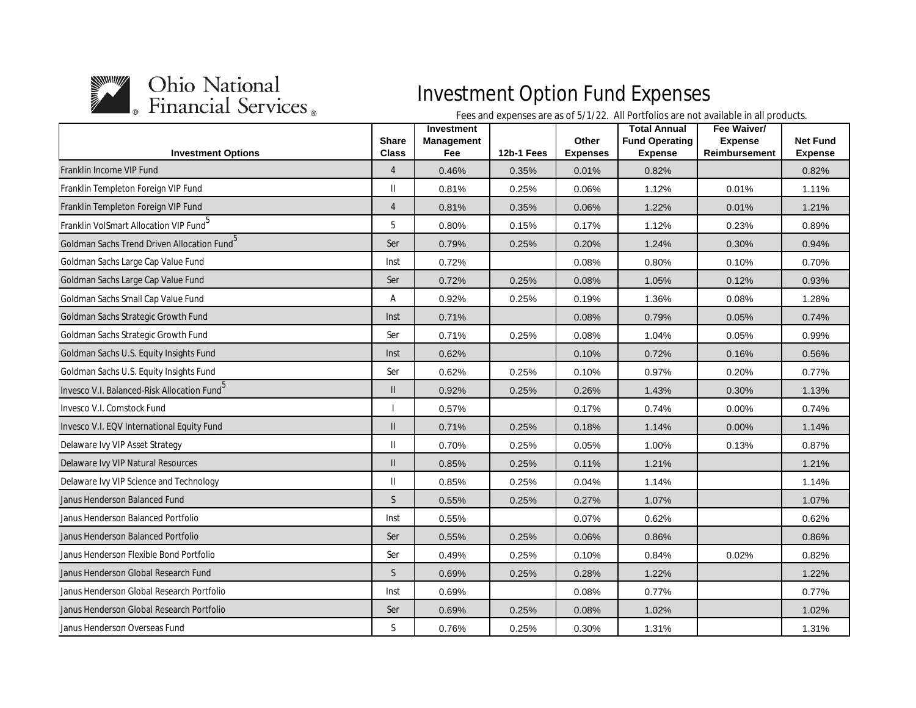

| <b>Investment Options</b>                               | <b>Share</b><br><b>Class</b> | <b>Investment</b><br>Management<br>Fee | 12b-1 Fees | Other<br><b>Expenses</b> | <b>Total Annual</b><br><b>Fund Operating</b><br><b>Expense</b> | Fee Waiver/<br><b>Expense</b><br>Reimbursement | <b>Net Fund</b><br><b>Expense</b> |
|---------------------------------------------------------|------------------------------|----------------------------------------|------------|--------------------------|----------------------------------------------------------------|------------------------------------------------|-----------------------------------|
| Franklin Income VIP Fund                                | $\overline{4}$               | 0.46%                                  | 0.35%      | 0.01%                    | 0.82%                                                          |                                                | 0.82%                             |
| Franklin Templeton Foreign VIP Fund                     | Ш                            | 0.81%                                  | 0.25%      | 0.06%                    | 1.12%                                                          | 0.01%                                          | 1.11%                             |
| Franklin Templeton Foreign VIP Fund                     | $\overline{4}$               | 0.81%                                  | 0.35%      | 0.06%                    | 1.22%                                                          | 0.01%                                          | 1.21%                             |
| Franklin VolSmart Allocation VIP Fund <sup>5</sup>      | 5                            | 0.80%                                  | 0.15%      | 0.17%                    | 1.12%                                                          | 0.23%                                          | 0.89%                             |
| Goldman Sachs Trend Driven Allocation Fund <sup>5</sup> | Ser                          | 0.79%                                  | 0.25%      | 0.20%                    | 1.24%                                                          | 0.30%                                          | 0.94%                             |
| Goldman Sachs Large Cap Value Fund                      | Inst                         | 0.72%                                  |            | 0.08%                    | 0.80%                                                          | 0.10%                                          | 0.70%                             |
| Goldman Sachs Large Cap Value Fund                      | Ser                          | 0.72%                                  | 0.25%      | 0.08%                    | 1.05%                                                          | 0.12%                                          | 0.93%                             |
| Goldman Sachs Small Cap Value Fund                      | Α                            | 0.92%                                  | 0.25%      | 0.19%                    | 1.36%                                                          | 0.08%                                          | 1.28%                             |
| Goldman Sachs Strategic Growth Fund                     | Inst                         | 0.71%                                  |            | 0.08%                    | 0.79%                                                          | 0.05%                                          | 0.74%                             |
| Goldman Sachs Strategic Growth Fund                     | Ser                          | 0.71%                                  | 0.25%      | 0.08%                    | 1.04%                                                          | 0.05%                                          | 0.99%                             |
| Goldman Sachs U.S. Equity Insights Fund                 | Inst                         | 0.62%                                  |            | 0.10%                    | 0.72%                                                          | 0.16%                                          | 0.56%                             |
| Goldman Sachs U.S. Equity Insights Fund                 | Ser                          | 0.62%                                  | 0.25%      | 0.10%                    | 0.97%                                                          | 0.20%                                          | 0.77%                             |
| Invesco V.I. Balanced-Risk Allocation Fund <sup>5</sup> | $\mathsf{I}$                 | 0.92%                                  | 0.25%      | 0.26%                    | 1.43%                                                          | 0.30%                                          | 1.13%                             |
| Invesco V.I. Comstock Fund                              |                              | 0.57%                                  |            | 0.17%                    | 0.74%                                                          | 0.00%                                          | 0.74%                             |
| Invesco V.I. EQV International Equity Fund              | $\mathbf{H}$                 | 0.71%                                  | 0.25%      | 0.18%                    | 1.14%                                                          | 0.00%                                          | 1.14%                             |
| Delaware Ivy VIP Asset Strategy                         | $\mathsf{II}$                | 0.70%                                  | 0.25%      | 0.05%                    | 1.00%                                                          | 0.13%                                          | 0.87%                             |
| Delaware Ivy VIP Natural Resources                      | $\mathsf{II}$                | 0.85%                                  | 0.25%      | 0.11%                    | 1.21%                                                          |                                                | 1.21%                             |
| Delaware Ivy VIP Science and Technology                 | $\mathbf{I}$                 | 0.85%                                  | 0.25%      | 0.04%                    | 1.14%                                                          |                                                | 1.14%                             |
| Janus Henderson Balanced Fund                           | S                            | 0.55%                                  | 0.25%      | 0.27%                    | 1.07%                                                          |                                                | 1.07%                             |
| Janus Henderson Balanced Portfolio                      | Inst                         | 0.55%                                  |            | 0.07%                    | 0.62%                                                          |                                                | 0.62%                             |
| Janus Henderson Balanced Portfolio                      | Ser                          | 0.55%                                  | 0.25%      | 0.06%                    | 0.86%                                                          |                                                | 0.86%                             |
| Janus Henderson Flexible Bond Portfolio                 | Ser                          | 0.49%                                  | 0.25%      | 0.10%                    | 0.84%                                                          | 0.02%                                          | 0.82%                             |
| Janus Henderson Global Research Fund                    | S                            | 0.69%                                  | 0.25%      | 0.28%                    | 1.22%                                                          |                                                | 1.22%                             |
| Janus Henderson Global Research Portfolio               | Inst                         | 0.69%                                  |            | 0.08%                    | 0.77%                                                          |                                                | 0.77%                             |
| Janus Henderson Global Research Portfolio               | Ser                          | 0.69%                                  | 0.25%      | 0.08%                    | 1.02%                                                          |                                                | 1.02%                             |
| Janus Henderson Overseas Fund                           | S                            | 0.76%                                  | 0.25%      | 0.30%                    | 1.31%                                                          |                                                | 1.31%                             |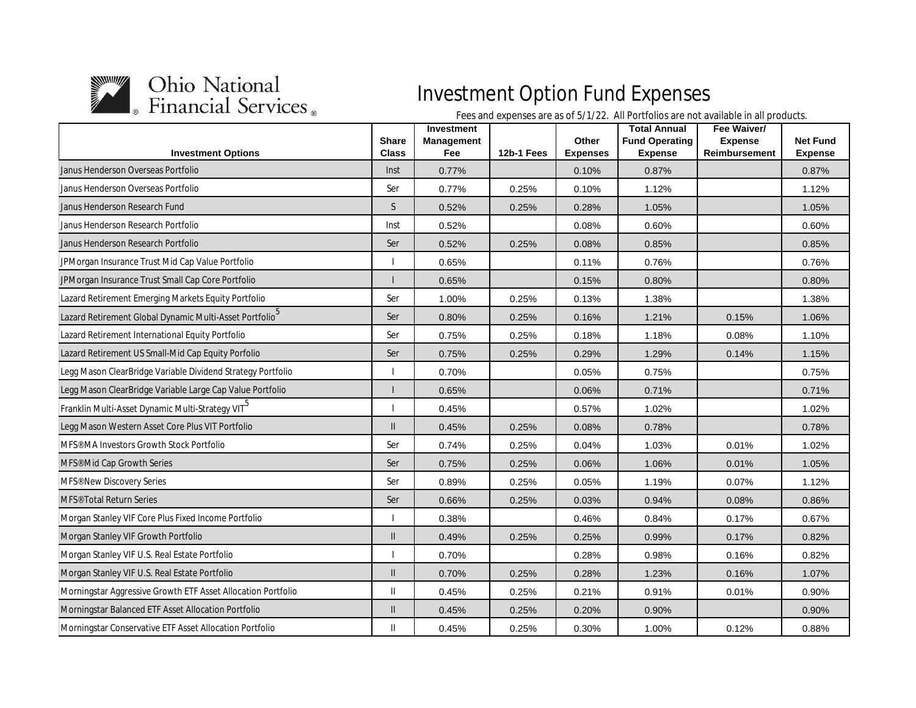

| <b>Investment Options</b>                                           | <b>Share</b><br><b>Class</b> | Investment<br>Management<br>Fee | 12b-1 Fees | Other<br><b>Expenses</b> | <b>Total Annual</b><br><b>Fund Operating</b><br><b>Expense</b> | Fee Waiver/<br><b>Expense</b><br><b>Reimbursement</b> | <b>Net Fund</b><br><b>Expense</b> |
|---------------------------------------------------------------------|------------------------------|---------------------------------|------------|--------------------------|----------------------------------------------------------------|-------------------------------------------------------|-----------------------------------|
| Janus Henderson Overseas Portfolio                                  | Inst                         | 0.77%                           |            | 0.10%                    | 0.87%                                                          |                                                       | 0.87%                             |
| Janus Henderson Overseas Portfolio                                  | Ser                          | 0.77%                           | 0.25%      | $0.10\%$                 | 1.12%                                                          |                                                       | 1.12%                             |
| Janus Henderson Research Fund                                       | S                            | 0.52%                           | 0.25%      | 0.28%                    | 1.05%                                                          |                                                       | 1.05%                             |
| Janus Henderson Research Portfolio                                  | Inst                         | 0.52%                           |            | 0.08%                    | 0.60%                                                          |                                                       | 0.60%                             |
| Janus Henderson Research Portfolio                                  | Ser                          | 0.52%                           | 0.25%      | 0.08%                    | 0.85%                                                          |                                                       | 0.85%                             |
| JPMorgan Insurance Trust Mid Cap Value Portfolio                    |                              | 0.65%                           |            | 0.11%                    | 0.76%                                                          |                                                       | 0.76%                             |
| JPMorgan Insurance Trust Small Cap Core Portfolio                   |                              | 0.65%                           |            | 0.15%                    | 0.80%                                                          |                                                       | 0.80%                             |
| Lazard Retirement Emerging Markets Equity Portfolio                 | Ser                          | 1.00%                           | 0.25%      | 0.13%                    | 1.38%                                                          |                                                       | 1.38%                             |
| Lazard Retirement Global Dynamic Multi-Asset Portfolio <sup>5</sup> | Ser                          | 0.80%                           | 0.25%      | 0.16%                    | 1.21%                                                          | 0.15%                                                 | 1.06%                             |
| Lazard Retirement International Equity Portfolio                    | Ser                          | 0.75%                           | 0.25%      | 0.18%                    | 1.18%                                                          | 0.08%                                                 | 1.10%                             |
| Lazard Retirement US Small-Mid Cap Equity Porfolio                  | Ser                          | 0.75%                           | 0.25%      | 0.29%                    | 1.29%                                                          | 0.14%                                                 | 1.15%                             |
| Legg Mason ClearBridge Variable Dividend Strategy Portfolio         |                              | 0.70%                           |            | 0.05%                    | 0.75%                                                          |                                                       | 0.75%                             |
| Legg Mason ClearBridge Variable Large Cap Value Portfolio           |                              | 0.65%                           |            | 0.06%                    | 0.71%                                                          |                                                       | 0.71%                             |
| Franklin Multi-Asset Dynamic Multi-Strategy VIT <sup>5</sup>        |                              | 0.45%                           |            | 0.57%                    | 1.02%                                                          |                                                       | 1.02%                             |
| Legg Mason Western Asset Core Plus VIT Portfolio                    | $\mathsf{II}$                | 0.45%                           | 0.25%      | 0.08%                    | 0.78%                                                          |                                                       | 0.78%                             |
| MFS <sup>®</sup> MA Investors Growth Stock Portfolio                | Ser                          | 0.74%                           | 0.25%      | 0.04%                    | 1.03%                                                          | 0.01%                                                 | 1.02%                             |
| MFS <sup>®</sup> Mid Cap Growth Series                              | Ser                          | 0.75%                           | 0.25%      | 0.06%                    | 1.06%                                                          | 0.01%                                                 | 1.05%                             |
| MFS <sup>®</sup> New Discovery Series                               | Ser                          | 0.89%                           | 0.25%      | 0.05%                    | 1.19%                                                          | 0.07%                                                 | 1.12%                             |
| MFS <sup>®</sup> Total Return Series                                | Ser                          | 0.66%                           | 0.25%      | 0.03%                    | 0.94%                                                          | 0.08%                                                 | 0.86%                             |
| Morgan Stanley VIF Core Plus Fixed Income Portfolio                 |                              | 0.38%                           |            | 0.46%                    | 0.84%                                                          | 0.17%                                                 | 0.67%                             |
| Morgan Stanley VIF Growth Portfolio                                 | $\mathsf{II}$                | 0.49%                           | 0.25%      | 0.25%                    | 0.99%                                                          | 0.17%                                                 | 0.82%                             |
| Morgan Stanley VIF U.S. Real Estate Portfolio                       |                              | 0.70%                           |            | 0.28%                    | 0.98%                                                          | 0.16%                                                 | 0.82%                             |
| Morgan Stanley VIF U.S. Real Estate Portfolio                       | Ш                            | 0.70%                           | 0.25%      | 0.28%                    | 1.23%                                                          | 0.16%                                                 | 1.07%                             |
| Morningstar Aggressive Growth ETF Asset Allocation Portfolio        | Ш                            | 0.45%                           | 0.25%      | 0.21%                    | 0.91%                                                          | 0.01%                                                 | 0.90%                             |
| Morningstar Balanced ETF Asset Allocation Portfolio                 | $\mathbf{II}$                | 0.45%                           | 0.25%      | 0.20%                    | 0.90%                                                          |                                                       | 0.90%                             |
| Morningstar Conservative ETF Asset Allocation Portfolio             | Ш                            | 0.45%                           | 0.25%      | 0.30%                    | 1.00%                                                          | 0.12%                                                 | 0.88%                             |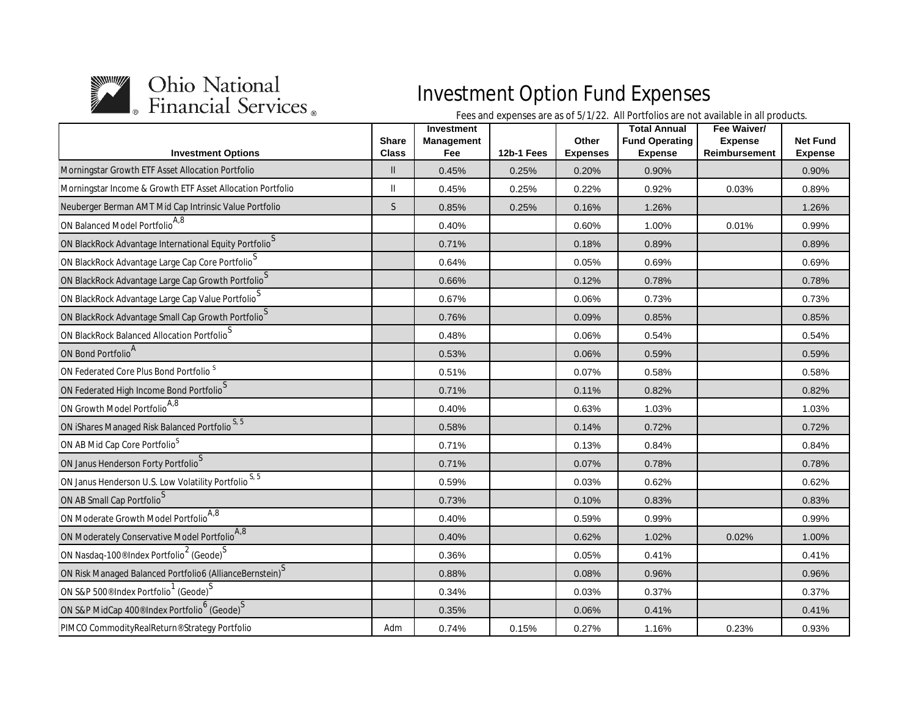

| <b>Investment Options</b>                                                               | <b>Share</b><br><b>Class</b> | <b>Investment</b><br><b>Management</b><br>Fee | 12b-1 Fees | Other<br><b>Expenses</b> | <b>Total Annual</b><br><b>Fund Operating</b><br><b>Expense</b> | Fee Waiver/<br><b>Expense</b><br>Reimbursement | <b>Net Fund</b><br><b>Expense</b> |
|-----------------------------------------------------------------------------------------|------------------------------|-----------------------------------------------|------------|--------------------------|----------------------------------------------------------------|------------------------------------------------|-----------------------------------|
| Morningstar Growth ETF Asset Allocation Portfolio                                       | $\mathbf{I}$                 | 0.45%                                         | 0.25%      | 0.20%                    | 0.90%                                                          |                                                | 0.90%                             |
| Morningstar Income & Growth ETF Asset Allocation Portfolio                              | Ш                            | 0.45%                                         | 0.25%      | 0.22%                    | 0.92%                                                          | 0.03%                                          | 0.89%                             |
| Neuberger Berman AMT Mid Cap Intrinsic Value Portfolio                                  | S                            | 0.85%                                         | 0.25%      | 0.16%                    | 1.26%                                                          |                                                | 1.26%                             |
| ON Balanced Model Portfolio <sup>A,8</sup>                                              |                              | 0.40%                                         |            | 0.60%                    | 1.00%                                                          | 0.01%                                          | 0.99%                             |
| ON BlackRock Advantage International Equity Portfolio $S$                               |                              | 0.71%                                         |            | 0.18%                    | 0.89%                                                          |                                                | 0.89%                             |
| ON BlackRock Advantage Large Cap Core Portfolio                                         |                              | 0.64%                                         |            | 0.05%                    | 0.69%                                                          |                                                | 0.69%                             |
| ON BlackRock Advantage Large Cap Growth Portfolio <sup>S</sup>                          |                              | 0.66%                                         |            | 0.12%                    | 0.78%                                                          |                                                | 0.78%                             |
| ON BlackRock Advantage Large Cap Value Portfolio                                        |                              | 0.67%                                         |            | 0.06%                    | 0.73%                                                          |                                                | 0.73%                             |
| ON BlackRock Advantage Small Cap Growth Portfolio $S$                                   |                              | 0.76%                                         |            | 0.09%                    | 0.85%                                                          |                                                | 0.85%                             |
| ON BlackRock Balanced Allocation Portfolio <sup>S</sup>                                 |                              | 0.48%                                         |            | 0.06%                    | 0.54%                                                          |                                                | 0.54%                             |
| ON Bond Portfolio <sup>A</sup>                                                          |                              | 0.53%                                         |            | 0.06%                    | 0.59%                                                          |                                                | 0.59%                             |
| ON Federated Core Plus Bond Portfolio <sup>S</sup>                                      |                              | 0.51%                                         |            | 0.07%                    | 0.58%                                                          |                                                | 0.58%                             |
| ON Federated High Income Bond Portfolio <sup>S</sup>                                    |                              | 0.71%                                         |            | 0.11%                    | 0.82%                                                          |                                                | 0.82%                             |
| ON Growth Model Portfolio <sup>A,8</sup>                                                |                              | 0.40%                                         |            | 0.63%                    | 1.03%                                                          |                                                | 1.03%                             |
| ON iShares Managed Risk Balanced Portfolio <sup>S, 5</sup>                              |                              | 0.58%                                         |            | 0.14%                    | 0.72%                                                          |                                                | 0.72%                             |
| ON AB Mid Cap Core Portfolio <sup>S</sup>                                               |                              | 0.71%                                         |            | 0.13%                    | 0.84%                                                          |                                                | 0.84%                             |
| ON Janus Henderson Forty Portfolio <sup>S</sup>                                         |                              | 0.71%                                         |            | 0.07%                    | 0.78%                                                          |                                                | 0.78%                             |
| ON Janus Henderson U.S. Low Volatility Portfolio <sup>S, 5</sup>                        |                              | 0.59%                                         |            | 0.03%                    | 0.62%                                                          |                                                | 0.62%                             |
| ON AB Small Cap Portfolio <sup>S</sup>                                                  |                              | 0.73%                                         |            | 0.10%                    | 0.83%                                                          |                                                | 0.83%                             |
| ON Moderate Growth Model Portfolio <sup>A,8</sup>                                       |                              | 0.40%                                         |            | 0.59%                    | 0.99%                                                          |                                                | 0.99%                             |
| ON Moderately Conservative Model Portfolio <sup>A,8</sup>                               |                              | 0.40%                                         |            | 0.62%                    | 1.02%                                                          | 0.02%                                          | 1.00%                             |
| ON Nasdaq-100 <sup>®</sup> Index Portfolio <sup>2</sup> (Geode) <sup>S</sup>            |                              | 0.36%                                         |            | 0.05%                    | 0.41%                                                          |                                                | 0.41%                             |
| ON Risk Managed Balanced Portfolio6 (AllianceBernstein) <sup>S</sup>                    |                              | 0.88%                                         |            | 0.08%                    | 0.96%                                                          |                                                | 0.96%                             |
| ON S&P 500 <sup>®</sup> Index Portfolio <sup>1</sup> (Geode) <sup>S</sup>               |                              | 0.34%                                         |            | 0.03%                    | 0.37%                                                          |                                                | 0.37%                             |
| ON S&P MidCap 400 <sup>®</sup> Index Portfolio <sup>6</sup> (Geode) $\sqrt{\frac{S}{}}$ |                              | 0.35%                                         |            | 0.06%                    | 0.41%                                                          |                                                | 0.41%                             |
| PIMCO CommodityRealReturn® Strategy Portfolio                                           | Adm                          | 0.74%                                         | 0.15%      | 0.27%                    | 1.16%                                                          | 0.23%                                          | 0.93%                             |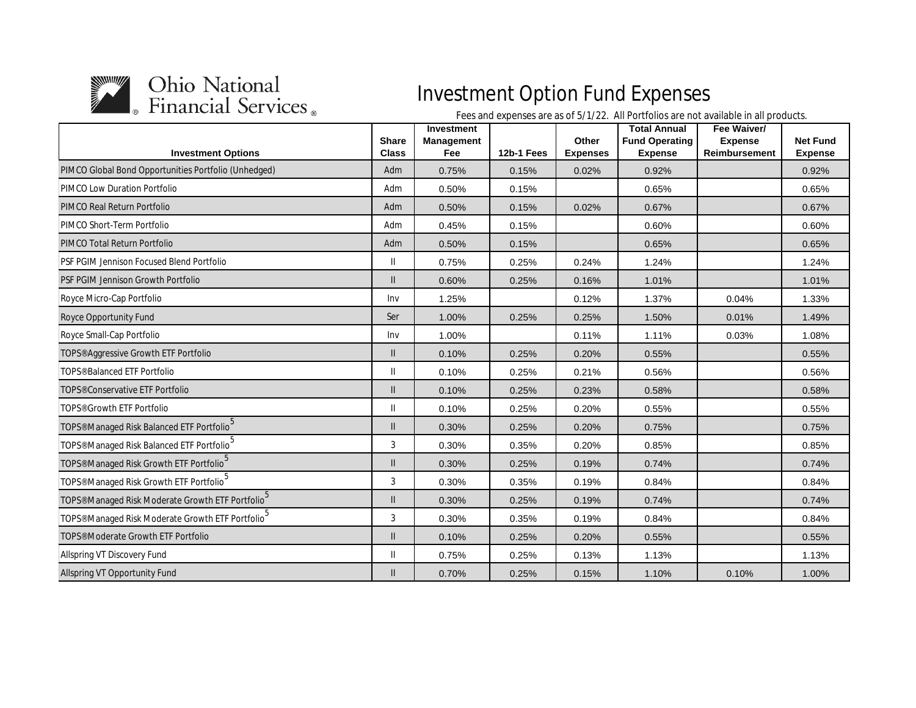

|                                                                  | <b>Share</b>  | Investment<br><b>Management</b> |            | Other           | <b>Total Annual</b><br><b>Fund Operating</b> | Fee Waiver/<br><b>Expense</b> | <b>Net Fund</b> |
|------------------------------------------------------------------|---------------|---------------------------------|------------|-----------------|----------------------------------------------|-------------------------------|-----------------|
| <b>Investment Options</b>                                        | <b>Class</b>  | Fee                             | 12b-1 Fees | <b>Expenses</b> | <b>Expense</b>                               | <b>Reimbursement</b>          | <b>Expense</b>  |
| PIMCO Global Bond Opportunities Portfolio (Unhedged)             | Adm           | 0.75%                           | 0.15%      | 0.02%           | 0.92%                                        |                               | 0.92%           |
| <b>PIMCO Low Duration Portfolio</b>                              | Adm           | 0.50%                           | 0.15%      |                 | 0.65%                                        |                               | 0.65%           |
| PIMCO Real Return Portfolio                                      | Adm           | 0.50%                           | 0.15%      | 0.02%           | 0.67%                                        |                               | 0.67%           |
| PIMCO Short-Term Portfolio                                       | Adm           | 0.45%                           | 0.15%      |                 | 0.60%                                        |                               | 0.60%           |
| <b>PIMCO Total Return Portfolio</b>                              | Adm           | 0.50%                           | 0.15%      |                 | 0.65%                                        |                               | 0.65%           |
| <b>PSF PGIM Jennison Focused Blend Portfolio</b>                 | $\mathsf{II}$ | 0.75%                           | 0.25%      | 0.24%           | 1.24%                                        |                               | 1.24%           |
| PSF PGIM Jennison Growth Portfolio                               | $\mathbf{I}$  | 0.60%                           | 0.25%      | 0.16%           | 1.01%                                        |                               | 1.01%           |
| Royce Micro-Cap Portfolio                                        | Inv           | 1.25%                           |            | 0.12%           | 1.37%                                        | 0.04%                         | 1.33%           |
| <b>Royce Opportunity Fund</b>                                    | Ser           | 1.00%                           | 0.25%      | 0.25%           | 1.50%                                        | 0.01%                         | 1.49%           |
| Royce Small-Cap Portfolio                                        | Inv           | 1.00%                           |            | 0.11%           | 1.11%                                        | 0.03%                         | 1.08%           |
| TOPS <sup>®</sup> Aggressive Growth ETF Portfolio                | $\mathbf{I}$  | 0.10%                           | 0.25%      | 0.20%           | 0.55%                                        |                               | 0.55%           |
| TOPS <sup>®</sup> Balanced ETF Portfolio                         | Ш             | 0.10%                           | 0.25%      | 0.21%           | 0.56%                                        |                               | 0.56%           |
| TOPS <sup>®</sup> Conservative ETF Portfolio                     | $\mathbf{I}$  | 0.10%                           | 0.25%      | 0.23%           | 0.58%                                        |                               | 0.58%           |
| TOPS <sup>®</sup> Growth ETF Portfolio                           | Ш             | 0.10%                           | 0.25%      | 0.20%           | 0.55%                                        |                               | 0.55%           |
| TOPS <sup>®</sup> Managed Risk Balanced ETF Portfolio            | $\mathsf{II}$ | 0.30%                           | 0.25%      | 0.20%           | 0.75%                                        |                               | 0.75%           |
| TOPS <sup>®</sup> Managed Risk Balanced ETF Portfolio            | 3             | 0.30%                           | 0.35%      | 0.20%           | 0.85%                                        |                               | 0.85%           |
| TOPS <sup>®</sup> Managed Risk Growth ETF Portfolio <sup>5</sup> | $\mathbf{I}$  | 0.30%                           | 0.25%      | 0.19%           | 0.74%                                        |                               | 0.74%           |
| TOPS <sup>®</sup> Managed Risk Growth ETF Portfolio              | 3             | 0.30%                           | 0.35%      | 0.19%           | 0.84%                                        |                               | 0.84%           |
| TOPS® Managed Risk Moderate Growth ETF Portfolio <sup>5</sup>    | $\mathbf{I}$  | 0.30%                           | 0.25%      | 0.19%           | 0.74%                                        |                               | 0.74%           |
| TOPS® Managed Risk Moderate Growth ETF Portfolio                 | 3             | 0.30%                           | 0.35%      | 0.19%           | 0.84%                                        |                               | 0.84%           |
| TOPS <sup>®</sup> Moderate Growth ETF Portfolio                  | $\mathbf{I}$  | 0.10%                           | 0.25%      | 0.20%           | 0.55%                                        |                               | 0.55%           |
| Allspring VT Discovery Fund                                      | $\mathbf{I}$  | 0.75%                           | 0.25%      | 0.13%           | 1.13%                                        |                               | 1.13%           |
| <b>Allspring VT Opportunity Fund</b>                             | $\mathbf{I}$  | 0.70%                           | 0.25%      | 0.15%           | 1.10%                                        | 0.10%                         | 1.00%           |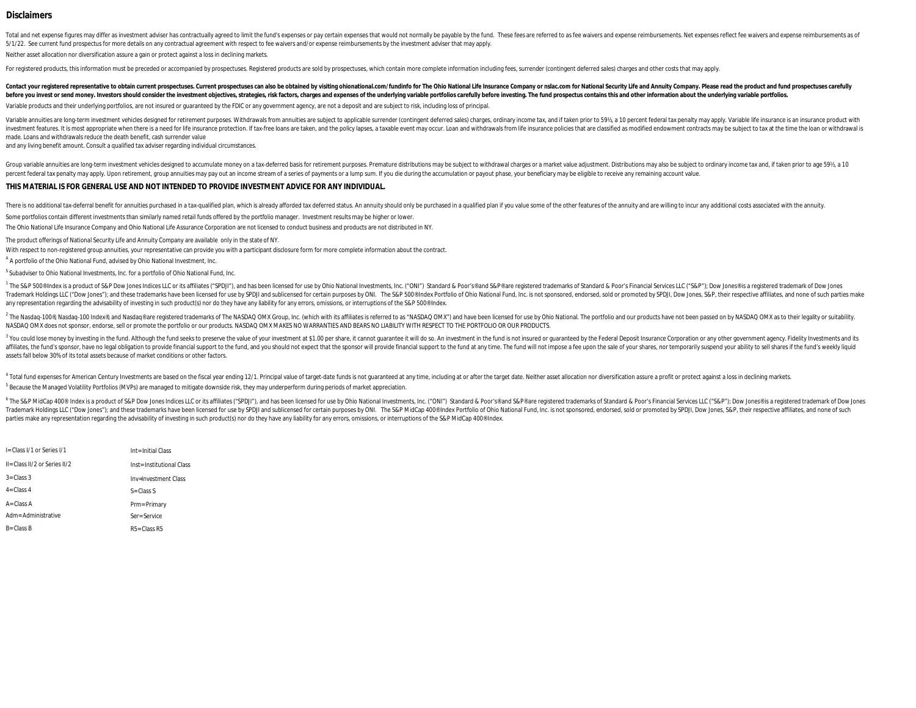#### **Disclaimers**

Total and net expense figures may differ as investment adviser has contractually agreed to limit the fund's expenses or pay certain expenses that would not normally be payable by the fund. These fees are referred to as fee 5/1/22. See current fund prospectus for more details on any contractual agreement with respect to fee waivers and/or expense reimbursements by the investment adviser that may apply.

Neither asset allocation nor diversification assure a gain or protect against a loss in declining markets.

For registered products, this information must be preceded or accompanied by prospectuses. Registered products are sold by prospectuses, which contain more complete information including fees, surrender (contingent deferre

Contact your registered representative to obtain current prospectuses. Current prospectuses can also be obtained by visiting ohionational.com/fundinfo for The Ohio National Life Insurance Company or nslac.com for National before you invest or send money. Investors should consider the investment objectives. strategies. risk factors. charges and expenses of the underlying variable portfolios carefully before investing. The fund prospectus con

Variable products and their underlying portfolios, are not insured or guaranteed by the FDIC or any government agency, are not a deposit and are subject to risk, including loss of principal.

Variable annuities are long-term investment vehicles designed for retirement purposes. Withdrawals from annuities are subject to applicable surrender (contingent deferred sales) charges, ordinary income tax, and if taken p investment features. It is most appropriate when there is a need for life insurance protection. If tax-free loans are taken, and the policy lapses, a taxable event may occur. Loan and withdrawals from life insurance polici made. Loans and withdrawals reduce the death benefit, cash surrender value

and any living benefit amount. Consult a qualified tax adviser regarding individual circumstances.

Group variable annuities are long-term investment vehicles designed to accumulate money on a tax-deferred basis for retirement purposes. Premature distributions may be subject to withdrawal charges or a market value adjust percent federal tax penalty may apply. Upon retirement, group annuities may pay out an income stream of a series of payments or a lump sum. If you die during the accumulation or payout phase, your beneficiary may be eligib

#### **THIS MATERIAL IS FOR GENERAL USE AND NOT INTENDED TO PROVIDE INVESTMENT ADVICE FOR ANY INDIVIDUAL.**

There is no additional tax-deferral benefit for annuities purchased in a tax-qualified plan, which is already afforded tax deferred status. An annuity should only be purchased in a qualified plan if you value some of the o

Some portfolios contain different investments than similarly named retail funds offered by the portfolio manager. Investment results may be higher or lower.

The Ohio National Life Insurance Company and Ohio National Life Assurance Corporation are not licensed to conduct business and products are not distributed in NY.

The product offerings of National Security Life and Annuity Company are available only in the state of NY.

With respect to non-registered group annuities, your representative can provide you with a participant disclosure form for more complete information about the contract.

A A portfolio of the Ohio National Fund, advised by Ohio National Investment, Inc.

<sup>S</sup> Subadviser to Ohio National Investments, Inc. for a portfolio of Ohio National Fund, Inc.

1 The S&P 500® Index is a product of S&P Dow Jones Indices LLC or its affiliates ("SPDJI"), and has been licensed for use by Ohio National Investments, Inc. ("ONI") Standard & Poor's® and S&P® are registered trademarks of Trademark Holdings LLC ("Dow Jones"); and these trademarks have been licensed for use by SPDJI and sublicensed for certain purposes by ONI. The S&P S00® Index Portfolio of Ohio National Fund, Inc. is not sponsored, endorse any representation regarding the advisability of investing in such product(s) nor do they have any liability for any errors, omissions, or interruptions of the S&P 500® Index.

The Nasdaq-100®, Nasdaq-100 Index®, and Nasdaq® are registered trademarks of The NASDAQ OMX Group, Inc. (which with its affiliates is referred to as "NASDAQ OMX") and have been licensed for use by Ohio National. The portfo NASDAQ OMX does not sponsor, endorse, sell or promote the portfolio or our products. NASDAQ OMX MAKES NO WARRANTIES AND BEARS NO LIABILITY WITH RESPECT TO THE PORTFOLIO OR OUR PRODUCTS.

<sup>3</sup> You could lose money by investing in the fund. Although the fund seeks to preserve the value of your investment at \$1.00 per share, it cannot guarantee it will do so. An investment in the fund is not insured or guarant affiliates, the fund's sponsor, have no legal obligation to provide financial support to the fund, and you should not expect that the sponsor will provide financial support to the fund at any time. The fund will not impose assets fall below 30% of its total assets because of market conditions or other factors.

 $^5$  Because the Managed Volatility Portfolios (MVPs) are managed to mitigate downside risk, they may underperform during periods of market appreciation. 4 Total fund expenses for American Century Investments are based on the fiscal year ending 12/1. Principal value of target-date funds is not guaranteed at any time, including at or after the target date. Neither asset allo

<sup>6</sup> The S&P MidCap 400® Index is a product of S&P Dow Jones Indices LLC or its affiliates ("SPDJI"), and has been licensed for use by Ohio National Investments, Inc. ("ONI") Standard & Poor's® and S&P® are registered trade Trademark Holdings LLC ("Dow Jones"); and these trademarks have been licensed for use by SPDJI and sublicensed for certain purposes by ONI. The S&P MidCap 400® Index Portfolio of Ohio National Fund, Inc. is not sponsored, parties make any representation regarding the advisability of investing in such product(s) nor do they have any liability for any errors, omissions, or interruptions of the S&P MidCap 400® Index.

| I= Class I/1 or Series I/1    | Int= Initial Class        |
|-------------------------------|---------------------------|
| II= Class II/2 or Series II/2 | Inst= Institutional Class |
| $3 = Class 3$                 | Inv=Investment Class      |
| 4= Class 4                    | $S = Class S$             |
| A= Class A                    | Prm= Primary              |
| Adm= Administrative           | Ser=Service               |
| <b>B</b> = Class B            | $R5 = Class R5$           |